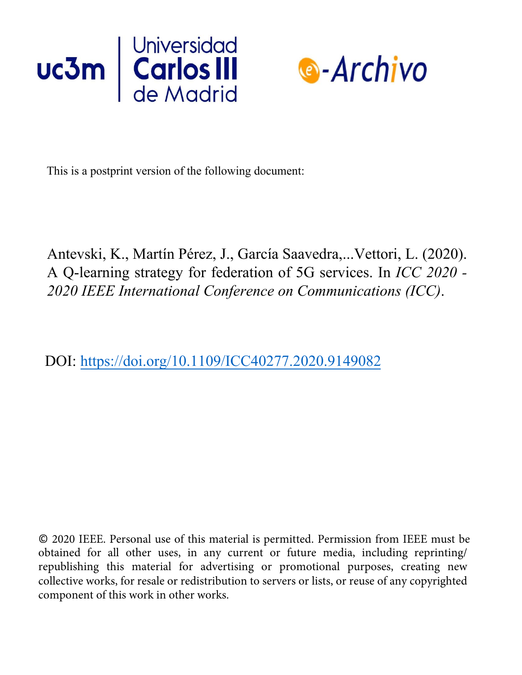



This is a postprint version of the following document:

Antevski, K., Martín Pérez, J., García Saavedra,...Vettori, L. (2020). A Q-learning strategy for federation of 5G services. In *ICC 2020 - 2020 IEEE International Conference on Communications (ICC)*.

DOI: https://doi.org/10.1109/ICC40277.2020.9149082

© 2020 IEEE. Personal use of this material is permitted. Permission from IEEE must be obtained for all other uses, in any current or future media, including reprinting/ republishing this material for advertising or promotional purposes, creating new collective works, for resale or redistribution to servers or lists, or reuse of any copyrighted component of this work in other works.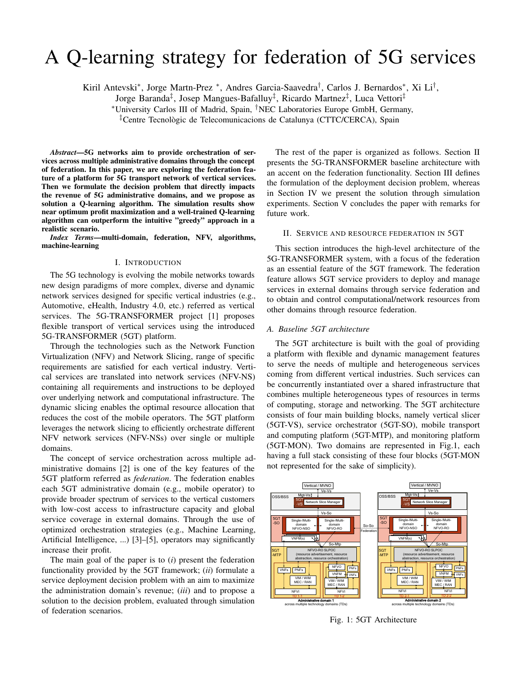# A Q-learning strategy for federation of 5G services

Kiril Antevski\*, Jorge Martn-Prez \*, Andres Garcia-Saavedra<sup>†</sup>, Carlos J. Bernardos\*, Xi Li<sup>†</sup>,

Jorge Baranda‡ , Josep Mangues-Bafalluy‡ , Ricardo Martnez‡ , Luca Vettori‡

<sup>∗</sup>University Carlos III of Madrid, Spain, †NEC Laboratories Europe GmbH, Germany,

<sup>‡</sup>Centre Tecnològic de Telecomunicacions de Catalunya (CTTC/CERCA), Spain

*Abstract*—5G networks aim to provide orchestration of services across multiple administrative domains through the concept of federation. In this paper, we are exploring the federation feature of a platform for 5G transport network of vertical services. Then we formulate the decision problem that directly impacts the revenue of 5G administrative domains, and we propose as solution a Q-learning algorithm. The simulation results show near optimum profit maximization and a well-trained Q-learning algorithm can outperform the intuitive "greedy" approach in a realistic scenario.

*Index Terms*—multi-domain, federation, NFV, algorithms, machine-learning

### I. INTRODUCTION

The 5G technology is evolving the mobile networks towards new design paradigms of more complex, diverse and dynamic network services designed for specific vertical industries (e.g., Automotive, eHealth, Industry 4.0, etc.) referred as vertical services. The 5G-TRANSFORMER project [1] proposes flexible transport of vertical services using the introduced 5G-TRANSFORMER (5GT) platform.

Through the technologies such as the Network Function Virtualization (NFV) and Network Slicing, range of specific requirements are satisfied for each vertical industry. Vertical services are translated into network services (NFV-NS) containing all requirements and instructions to be deployed over underlying network and computational infrastructure. The dynamic slicing enables the optimal resource allocation that reduces the cost of the mobile operators. The 5GT platform leverages the network slicing to efficiently orchestrate different NFV network services (NFV-NSs) over single or multiple domains.

The concept of service orchestration across multiple administrative domains [2] is one of the key features of the 5GT platform referred as *federation*. The federation enables each 5GT administrative domain (e.g., mobile operator) to provide broader spectrum of services to the vertical customers with low-cost access to infrastructure capacity and global service coverage in external domains. Through the use of optimized orchestration strategies (e.g., Machine Learning, Artificial Intelligence, ...) [3]–[5], operators may significantly increase their profit.

The main goal of the paper is to (*i*) present the federation functionality provided by the 5GT framework; (*ii*) formulate a service deployment decision problem with an aim to maximize the administration domain's revenue; (*iii*) and to propose a solution to the decision problem, evaluated through simulation of federation scenarios.

The rest of the paper is organized as follows. Section II presents the 5G-TRANSFORMER baseline architecture with an accent on the federation functionality. Section III defines the formulation of the deployment decision problem, whereas in Section IV we present the solution through simulation experiments. Section V concludes the paper with remarks for future work.

# II. SERVICE AND RESOURCE FEDERATION IN 5GT

This section introduces the high-level architecture of the 5G-TRANSFORMER system, with a focus of the federation as an essential feature of the 5GT framework. The federation feature allows 5GT service providers to deploy and manage services in external domains through service federation and to obtain and control computational/network resources from other domains through resource federation.

# *A. Baseline 5GT architecture*

The 5GT architecture is built with the goal of providing a platform with flexible and dynamic management features to serve the needs of multiple and heterogeneous services coming from different vertical industries. Such services can be concurrently instantiated over a shared infrastructure that combines multiple heterogeneous types of resources in terms of computing, storage and networking. The 5GT architecture consists of four main building blocks, namely vertical slicer (5GT-VS), service orchestrator (5GT-SO), mobile transport and computing platform (5GT-MTP), and monitoring platform (5GT-MON). Two domains are represented in Fig.1, each having a full stack consisting of these four blocks (5GT-MON not represented for the sake of simplicity).



Fig. 1: 5GT Architecture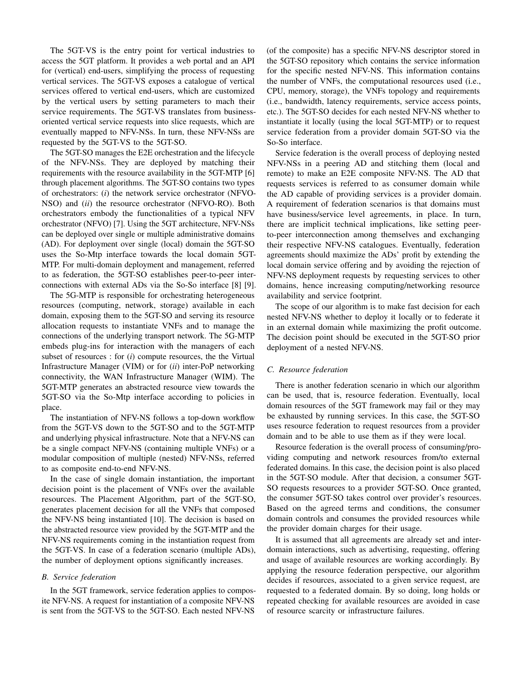The 5GT-VS is the entry point for vertical industries to access the 5GT platform. It provides a web portal and an API for (vertical) end-users, simplifying the process of requesting vertical services. The 5GT-VS exposes a catalogue of vertical services offered to vertical end-users, which are customized by the vertical users by setting parameters to mach their service requirements. The 5GT-VS translates from businessoriented vertical service requests into slice requests, which are eventually mapped to NFV-NSs. In turn, these NFV-NSs are requested by the 5GT-VS to the 5GT-SO.

The 5GT-SO manages the E2E orchestration and the lifecycle of the NFV-NSs. They are deployed by matching their requirements with the resource availability in the 5GT-MTP [6] through placement algorithms. The 5GT-SO contains two types of orchestrators: (*i*) the network service orchestrator (NFVO-NSO) and (*ii*) the resource orchestrator (NFVO-RO). Both orchestrators embody the functionalities of a typical NFV orchestrator (NFVO) [7]. Using the 5GT architecture, NFV-NSs can be deployed over single or multiple administrative domains (AD). For deployment over single (local) domain the 5GT-SO uses the So-Mtp interface towards the local domain 5GT-MTP. For multi-domain deployment and management, referred to as federation, the 5GT-SO establishes peer-to-peer interconnections with external ADs via the So-So interface [8] [9].

The 5G-MTP is responsible for orchestrating heterogeneous resources (computing, network, storage) available in each domain, exposing them to the 5GT-SO and serving its resource allocation requests to instantiate VNFs and to manage the connections of the underlying transport network. The 5G-MTP embeds plug-ins for interaction with the managers of each subset of resources : for (*i*) compute resources, the the Virtual Infrastructure Manager (VIM) or for (*ii*) inter-PoP networking connectivity, the WAN Infrastructure Manager (WIM). The 5GT-MTP generates an abstracted resource view towards the 5GT-SO via the So-Mtp interface according to policies in place.

The instantiation of NFV-NS follows a top-down workflow from the 5GT-VS down to the 5GT-SO and to the 5GT-MTP and underlying physical infrastructure. Note that a NFV-NS can be a single compact NFV-NS (containing multiple VNFs) or a modular composition of multiple (nested) NFV-NSs, referred to as composite end-to-end NFV-NS.

In the case of single domain instantiation, the important decision point is the placement of VNFs over the available resources. The Placement Algorithm, part of the 5GT-SO, generates placement decision for all the VNFs that composed the NFV-NS being instantiated [10]. The decision is based on the abstracted resource view provided by the 5GT-MTP and the NFV-NS requirements coming in the instantiation request from the 5GT-VS. In case of a federation scenario (multiple ADs), the number of deployment options significantly increases.

## *B. Service federation*

In the 5GT framework, service federation applies to composite NFV-NS. A request for instantiation of a composite NFV-NS is sent from the 5GT-VS to the 5GT-SO. Each nested NFV-NS

(of the composite) has a specific NFV-NS descriptor stored in the 5GT-SO repository which contains the service information for the specific nested NFV-NS. This information contains the number of VNFs, the computational resources used (i.e., CPU, memory, storage), the VNFs topology and requirements (i.e., bandwidth, latency requirements, service access points, etc.). The 5GT-SO decides for each nested NFV-NS whether to instantiate it locally (using the local 5GT-MTP) or to request service federation from a provider domain 5GT-SO via the So-So interface.

Service federation is the overall process of deploying nested NFV-NSs in a peering AD and stitching them (local and remote) to make an E2E composite NFV-NS. The AD that requests services is referred to as consumer domain while the AD capable of providing services is a provider domain. A requirement of federation scenarios is that domains must have business/service level agreements, in place. In turn, there are implicit technical implications, like setting peerto-peer interconnection among themselves and exchanging their respective NFV-NS catalogues. Eventually, federation agreements should maximize the ADs' profit by extending the local domain service offering and by avoiding the rejection of NFV-NS deployment requests by requesting services to other domains, hence increasing computing/networking resource availability and service footprint.

The scope of our algorithm is to make fast decision for each nested NFV-NS whether to deploy it locally or to federate it in an external domain while maximizing the profit outcome. The decision point should be executed in the 5GT-SO prior deployment of a nested NFV-NS.

# *C. Resource federation*

There is another federation scenario in which our algorithm can be used, that is, resource federation. Eventually, local domain resources of the 5GT framework may fail or they may be exhausted by running services. In this case, the 5GT-SO uses resource federation to request resources from a provider domain and to be able to use them as if they were local.

Resource federation is the overall process of consuming/providing computing and network resources from/to external federated domains. In this case, the decision point is also placed in the 5GT-SO module. After that decision, a consumer 5GT-SO requests resources to a provider 5GT-SO. Once granted, the consumer 5GT-SO takes control over provider's resources. Based on the agreed terms and conditions, the consumer domain controls and consumes the provided resources while the provider domain charges for their usage.

It is assumed that all agreements are already set and interdomain interactions, such as advertising, requesting, offering and usage of available resources are working accordingly. By applying the resource federation perspective, our algorithm decides if resources, associated to a given service request, are requested to a federated domain. By so doing, long holds or repeated checking for available resources are avoided in case of resource scarcity or infrastructure failures.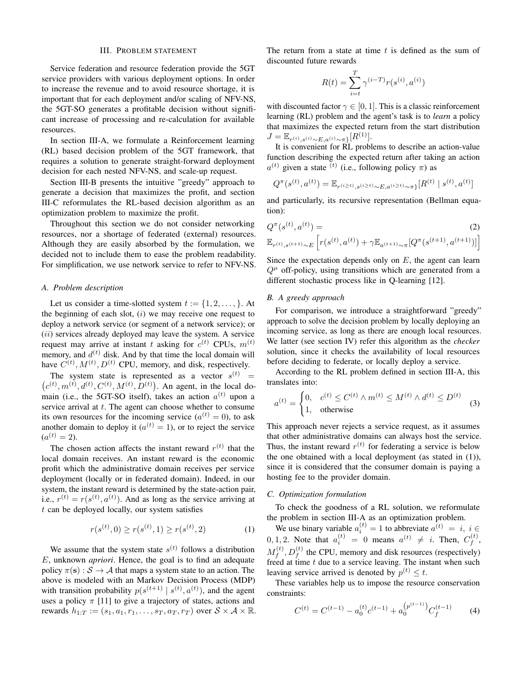#### III. PROBLEM STATEMENT

Service federation and resource federation provide the 5GT service providers with various deployment options. In order to increase the revenue and to avoid resource shortage, it is important that for each deployment and/or scaling of NFV-NS, the 5GT-SO generates a profitable decision without significant increase of processing and re-calculation for available resources.

In section III-A, we formulate a Reinforcement learning (RL) based decision problem of the 5GT framework, that requires a solution to generate straight-forward deployment decision for each nested NFV-NS, and scale-up request.

Section III-B presents the intuitive "greedy" approach to generate a decision that maximizes the profit, and section III-C reformulates the RL-based decision algorithm as an optimization problem to maximize the profit.

Throughout this section we do not consider networking resources, nor a shortage of federated (external) resources. Although they are easily absorbed by the formulation, we decided not to include them to ease the problem readability. For simplification, we use network service to refer to NFV-NS.

#### *A. Problem description*

Let us consider a time-slotted system  $t := \{1, 2, \ldots, \}$ . At the beginning of each slot,  $(i)$  we may receive one request to deploy a network service (or segment of a network service); or  $(ii)$  services already deployed may leave the system. A service request may arrive at instant t asking for  $c^{(t)}$  CPUs,  $m^{(t)}$ memory, and  $d^{(t)}$  disk. And by that time the local domain will have  $C^{(t)}$ ,  $M^{(t)}$ ,  $D^{(t)}$  CPU, memory, and disk, respectively.

The system state is represented as a vector  $s^{(t)}$  =  $(c^{(t)}, m^{(t)}, d^{(t)}, C^{(t)}, M^{(t)}, D^{(t)})$ . An agent, in the local domain (i.e., the 5GT-SO itself), takes an action  $a^{(t)}$  upon a service arrival at  $t$ . The agent can choose whether to consume its own resources for the incoming service  $(a^{(t)} = 0)$ , to ask another domain to deploy it ( $a^{(t)} = 1$ ), or to reject the service  $(a^{(t)}=2).$ 

The chosen action affects the instant reward  $r^{(t)}$  that the local domain receives. An instant reward is the economic profit which the administrative domain receives per service deployment (locally or in federated domain). Indeed, in our system, the instant reward is determined by the state-action pair, i.e.,  $r^{(t)} = r(s^{(t)}, a^{(t)})$ . And as long as the service arriving at t can be deployed locally, our system satisfies

$$
r(s^{(t)}, 0) \ge r(s^{(t)}, 1) \ge r(s^{(t)}, 2)
$$
 (1)

We assume that the system state  $s^{(t)}$  follows a distribution E, unknown *apriori*. Hence, the goal is to find an adequate policy  $\pi(s) : S \to A$  that maps a system state to an action. The above is modeled with an Markov Decision Process (MDP) with transition probability  $p(s^{(t+1)} | s^{(t)}, a^{(t)})$ , and the agent uses a policy  $\pi$  [11] to give a trajectory of states, actions and rewards  $h_{1:T} := (s_1, a_1, r_1, \ldots, s_T, a_T, r_T)$  over  $S \times A \times \mathbb{R}$ . The return from a state at time  $t$  is defined as the sum of discounted future rewards

$$
R(t) = \sum_{i=t}^{T} \gamma^{(i-T)} r(s^{(i)}, a^{(i)})
$$

with discounted factor  $\gamma \in [0, 1]$ . This is a classic reinforcement learning (RL) problem and the agent's task is to *learn* a policy that maximizes the expected return from the start distribution  $J = \mathbb{E}_{r^{(i)},s^{(i)} \sim E, a^{(i)} \sim \pi]}[R^{(1)}].$ 

It is convenient for RL problems to describe an action-value function describing the expected return after taking an action  $a^{(t)}$  given a state <sup>(t)</sup> (i.e., following policy  $\pi$ ) as

$$
Q^{\pi}(s^{(t)}, a^{(t)}) = \mathbb{E}_{r^{(i \ge t)}, s^{(i \ge t)} \sim E, a^{(i \ge t)} \sim \pi\}}[R^{(t)} \mid s^{(t)}, a^{(t)}]
$$

and particularly, its recursive representation (Bellman equation):

$$
Q^{\pi}(s^{(t)}, a^{(t)}) = (2)
$$
  

$$
\mathbb{E}_{r^{(t)}, s^{(t+1)} \sim E} \left[ r(s^{(t)}, a^{(t)}) + \gamma \mathbb{E}_{a^{(t+1)} \sim \pi} [Q^{\pi}(s^{(t+1)}, a^{(t+1)})] \right]
$$

Since the expectation depends only on  $E$ , the agent can learn  $Q^{\mu}$  off-policy, using transitions which are generated from a different stochastic process like in Q-learning [12].

## *B. A greedy approach*

For comparison, we introduce a straightforward "greedy" approach to solve the decision problem by locally deploying an incoming service, as long as there are enough local resources. We latter (see section IV) refer this algorithm as the *checker* solution, since it checks the availability of local resources before deciding to federate, or locally deploy a service.

According to the RL problem defined in section III-A, this translates into:

$$
a^{(t)} = \begin{cases} 0, & c^{(t)} \le C^{(t)} \wedge m^{(t)} \le M^{(t)} \wedge d^{(t)} \le D^{(t)} \\ 1, & \text{otherwise} \end{cases}
$$
(3)

This approach never rejects a service request, as it assumes that other administrative domains can always host the service. Thus, the instant reward  $r^{(t)}$  for federating a service is below the one obtained with a local deployment (as stated in (1)), since it is considered that the consumer domain is paying a hosting fee to the provider domain.

## *C. Optimization formulation*

To check the goodness of a RL solution, we reformulate the problem in section III-A as an optimization problem.

We use binary variable  $a_i^{(t)} = 1$  to abbreviate  $a_i^{(t)} = i$ ,  $i \in \mathbb{R}$ 0, 1, 2. Note that  $a_i^{(t)} = 0$  means  $a^{(t)} \neq i$ . Then,  $C_f^{(t)}$  $\stackrel{(t)}{f},$  ${M}_f^{(t)}$  $f_f^{(t)}$ ,  $D_f^{(t)}$  the CPU, memory and disk resources (respectively) freed at time  $t$  due to a service leaving. The instant when such leaving service arrived is denoted by  $p^{(t)} \leq t$ .

These variables help us to impose the resource conservation constraints:

$$
C^{(t)} = C^{(t-1)} - a_0^{(t)} c^{(t-1)} + a_0^{(p^{(t-1)})} C_f^{(t-1)}
$$
 (4)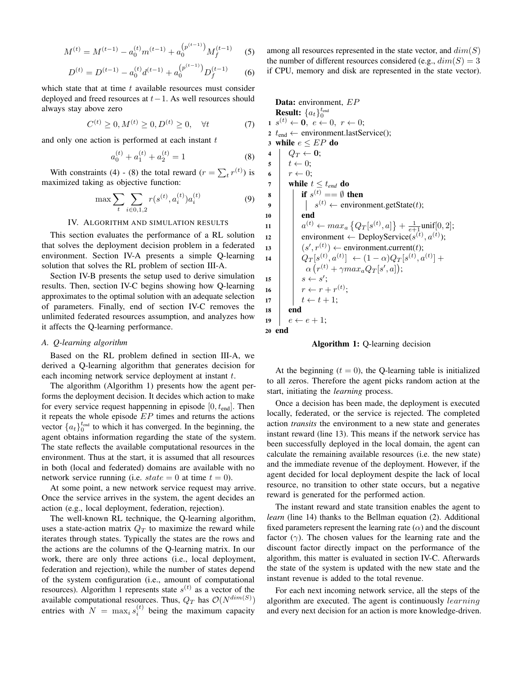$$
M^{(t)} = M^{(t-1)} - a_0^{(t)} m^{(t-1)} + a_0^{(p^{(t-1)})} M_f^{(t-1)}
$$
 (5)

$$
D^{(t)} = D^{(t-1)} - a_0^{(t)} d^{(t-1)} + a_0^{(p^{(t-1)})} D_f^{(t-1)}
$$
 (6)

which state that at time  $t$  available resources must consider deployed and freed resources at  $t-1$ . As well resources should always stay above zero

$$
C^{(t)} \ge 0, M^{(t)} \ge 0, D^{(t)} \ge 0, \quad \forall t \tag{7}
$$

and only one action is performed at each instant  $t$ 

$$
a_0^{(t)} + a_1^{(t)} + a_2^{(t)} = 1
$$
 (8)

With constraints (4) - (8) the total reward  $(r = \sum_t r^{(t)})$  is maximized taking as objective function:

$$
\max \sum_{t} \sum_{i \in 0,1,2} r(s^{(t)}, a_i^{(t)}) a_i^{(t)} \tag{9}
$$

## IV. ALGORITHM AND SIMULATION RESULTS

This section evaluates the performance of a RL solution that solves the deployment decision problem in a federated environment. Section IV-A presents a simple Q-learning solution that solves the RL problem of section III-A.

Section IV-B presents the setup used to derive simulation results. Then, section IV-C begins showing how Q-learning approximates to the optimal solution with an adequate selection of parameters. Finally, end of section IV-C removes the unlimited federated resources assumption, and analyzes how it affects the Q-learning performance.

# *A. Q-learning algorithm*

Based on the RL problem defined in section III-A, we derived a Q-learning algorithm that generates decision for each incoming network service deployment at instant  $t$ .

The algorithm (Algorithm 1) presents how the agent performs the deployment decision. It decides which action to make for every service request happenning in episode  $[0, t_{end}]$ . Then it repeats the whole episode  $EP$  times and returns the actions vector  ${a_t}_{0}^{t_{end}}$  to which it has converged. In the beginning, the agent obtains information regarding the state of the system. The state reflects the available computational resources in the environment. Thus at the start, it is assumed that all resources in both (local and federated) domains are available with no network service running (i.e.  $state = 0$  at time  $t = 0$ ).

At some point, a new network service request may arrive. Once the service arrives in the system, the agent decides an action (e.g., local deployment, federation, rejection).

The well-known RL technique, the Q-learning algorithm, uses a state-action matrix  $Q_T$  to maximize the reward while iterates through states. Typically the states are the rows and the actions are the columns of the Q-learning matrix. In our work, there are only three actions (i.e., local deployment, federation and rejection), while the number of states depend of the system configuration (i.e., amount of computational resources). Algorithm 1 represents state  $s^{(t)}$  as a vector of the available computational resources. Thus,  $Q_T$  has  $\mathcal{O}(N^{dim(S)})$ entries with  $N = \max_i s_i^{(t)}$  being the maximum capacity

among all resources represented in the state vector, and  $dim(S)$ the number of different resources considered (e.g.,  $dim(S) = 3$ if CPU, memory and disk are represented in the state vector).

Data: environment, EP **Result:**  $\{a_t\}_0^{t_{\text{end}}}$  $\mathbf{1} \ \ s^{(t)} \leftarrow \mathbf{0}, \ e \leftarrow 0, \ r \leftarrow 0;$ 2  $t_{end} \leftarrow$  environment.lastService(); 3 while  $e \leq EP$  do 4  $Q_T \leftarrow 0;$  $\mathbf{5} \quad t \leftarrow 0;$ 6  $r \leftarrow 0$ ; 7 while  $t \leq t_{end}$  do 8 if  $s^{(t)} = \emptyset$  then 9  $\vert \cdot \vert$   $s^{(t)} \leftarrow$  environment.getState(*t*); 10 end 11  $a^{(t)} \leftarrow max_a \{Q_T[s^{(t)}, a]\} + \frac{1}{e+1} \text{unif}[0, 2];$ 12 | environment  $\leftarrow$  DeployService( $s^{(t)}, a^{(t)}$ ); 13  $(s', r^{(t)}) \leftarrow$  environment.current(*t*); 14  $Q_T[s^{(t)}, a^{(t)}] \leftarrow (1-\alpha)Q_T[s^{(t)}, a^{(t)}] +$  $\alpha(r^{(t)} + \gamma max_a Q_T[s', a]);$ 15  $s \leftarrow s'$ ; 16  $r \leftarrow r + r^{(t)}$ ; 17  $t \leftarrow t + 1;$ <sup>18</sup> end 19  $e \leftarrow e + 1;$ <sup>20</sup> end

Algorithm 1: Q-learning decision

At the beginning  $(t = 0)$ , the Q-learning table is initialized to all zeros. Therefore the agent picks random action at the start, initiating the *learning* process.

Once a decision has been made, the deployment is executed locally, federated, or the service is rejected. The completed action *transits* the environment to a new state and generates instant reward (line 13). This means if the network service has been successfully deployed in the local domain, the agent can calculate the remaining available resources (i.e. the new state) and the immediate revenue of the deployment. However, if the agent decided for local deployment despite the lack of local resource, no transition to other state occurs, but a negative reward is generated for the performed action.

The instant reward and state transition enables the agent to *learn* (line 14) thanks to the Bellman equation (2). Additional fixed parameters represent the learning rate  $(\alpha)$  and the discount factor  $(\gamma)$ . The chosen values for the learning rate and the discount factor directly impact on the performance of the algorithm, this matter is evaluated in section IV-C. Afterwards the state of the system is updated with the new state and the instant revenue is added to the total revenue.

For each next incoming network service, all the steps of the algorithm are executed. The agent is continuously learning and every next decision for an action is more knowledge-driven.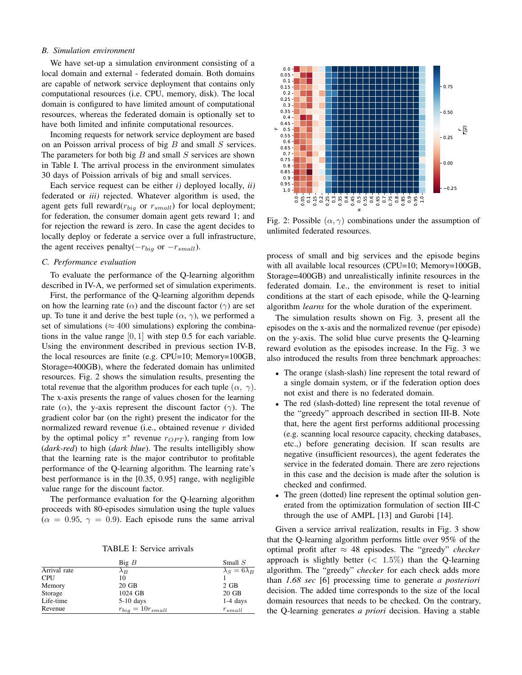## *B. Simulation environment*

We have set-up a simulation environment consisting of a local domain and external - federated domain. Both domains are capable of network service deployment that contains only computational resources (i.e. CPU, memory, disk). The local domain is configured to have limited amount of computational resources, whereas the federated domain is optionally set to have both limited and infinite computational resources.

Incoming requests for network service deployment are based on an Poisson arrival process of big  $B$  and small  $S$  services. The parameters for both big  $B$  and small  $S$  services are shown in Table I. The arrival process in the environment simulates 30 days of Poission arrivals of big and small services.

Each service request can be either *i)* deployed locally, *ii)* federated or *iii)* rejected. Whatever algorithm is used, the agent gets full reward $(r_{biq}$  or  $r_{small}$ ) for local deployment; for federation, the consumer domain agent gets reward 1; and for rejection the reward is zero. In case the agent decides to locally deploy or federate a service over a full infrastructure, the agent receives penalty( $-r_{big}$  or  $-r_{small}$ ).

### *C. Performance evaluation*

To evaluate the performance of the Q-learning algorithm described in IV-A, we performed set of simulation experiments.

First, the performance of the Q-learning algorithm depends on how the learning rate ( $\alpha$ ) and the discount factor ( $\gamma$ ) are set up. To tune it and derive the best tuple  $(\alpha, \gamma)$ , we performed a set of simulations ( $\approx 400$  simulations) exploring the combinations in the value range [0, 1] with step 0.5 for each variable. Using the environment described in previous section IV-B, the local resources are finite (e.g. CPU=10; Memory=100GB, Storage=400GB), where the federated domain has unlimited resources. Fig. 2 shows the simulation results, presenting the total revenue that the algorithm produces for each tuple  $(\alpha, \gamma)$ . The x-axis presents the range of values chosen for the learning rate ( $\alpha$ ), the y-axis represent the discount factor ( $\gamma$ ). The gradient color bar (on the right) present the indicator for the normalized reward revenue (i.e., obtained revenue r divided by the optimal policy  $\pi^*$  revenue  $r_{OPT}$ ), ranging from low (*dark-red*) to high (*dark blue*). The results intelligibly show that the learning rate is the major contributor to profitable performance of the Q-learning algorithm. The learning rate's best performance is in the [0.35, 0.95] range, with negligible value range for the discount factor. Example 18 contrast to meaning the series of the contrast of the series of the contrast of the contrast of the contrast of the contrast of the contrast of the contrast of the contrast of the contrast of the contrast of th

The performance evaluation for the Q-learning algorithm proceeds with 80-episodes simulation using the tuple values  $(\alpha = 0.95, \gamma = 0.9)$ . Each episode runs the same arrival

|              | Big B                   | Small $S$                |
|--------------|-------------------------|--------------------------|
| Arrival rate | $\lambda_B$             | $\lambda_S = 6\lambda_B$ |
| <b>CPU</b>   | 10                      |                          |
| Memory       | $20$ GB                 | $2$ GB                   |
| Storage      | 1024 GB                 | $20$ GB                  |
| Life-time    | $5-10$ days             | $1-4$ days               |
| Revenue      | $r_{big} = 10r_{small}$ | $r_{small}$              |



Fig. 2: Possible  $(\alpha, \gamma)$  combinations under the assumption of unlimited federated resources.

process of small and big services and the episode begins with all available local resources (CPU=10; Memory=100GB, Storage=400GB) and unrealistically infinite resources in the federated domain. I.e., the environment is reset to initial conditions at the start of each episode, while the Q-learning algorithm *learns* for the whole duration of the experiment.

The simulation results shown on Fig. 3, present all the episodes on the x-axis and the normalized revenue (per episode) on the y-axis. The solid blue curve presents the Q-learning reward evolution as the episodes increase. In the Fig. 3 we also introduced the results from three benchmark approaches:

- The orange (slash-slash) line represent the total reward of a single domain system, or if the federation option does not exist and there is no federated domain.
- The red (slash-dotted) line represent the total revenue of the "greedy" approach described in section III-B. Note that, here the agent first performs additional processing (e.g. scanning local resource capacity, checking databases, etc.,) before generating decision. If scan results are negative (insufficient resources), the agent federates the service in the federated domain. There are zero rejections in this case and the decision is made after the solution is checked and confirmed.
- The green (dotted) line represent the optimal solution generated from the optimization formulation of section III-C through the use of AMPL [13] and Gurobi [14].

Given a service arrival realization, results in Fig. 3 show that the Q-learning algorithm performs little over 95% of the optimal profit after ≈ 48 episodes. The "greedy" *checker* approach is slightly better  $(< 1.5\%)$  than the O-learning algorithm. The "greedy" *checker* for each check adds more than *1.68 sec* [6] processing time to generate *a posteriori* decision. The added time corresponds to the size of the local domain resources that needs to be checked. On the contrary, the Q-learning generates *a priori* decision. Having a stable